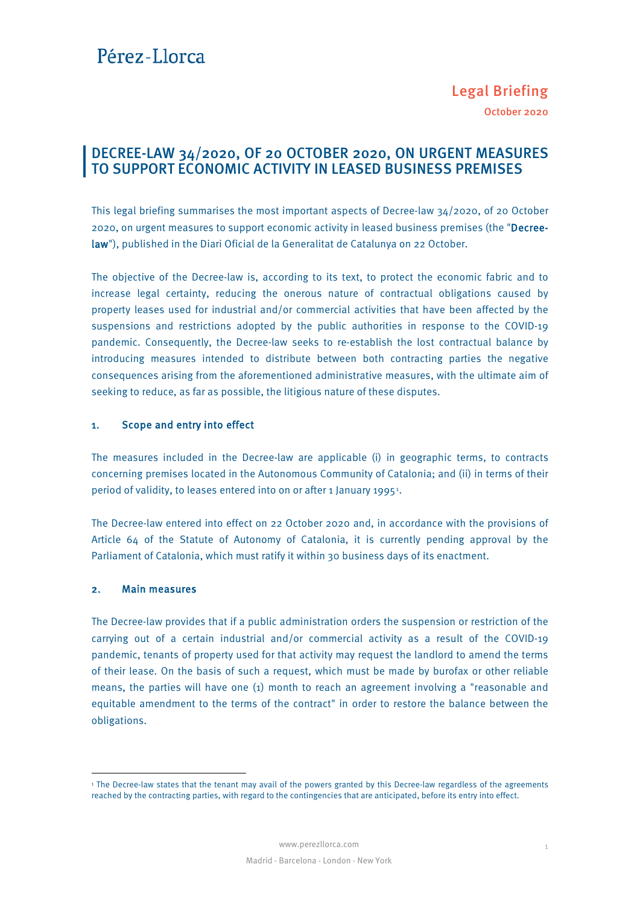## Pérez-Llorca

### DECREE-LAW 34/2020, OF 20 OCTOBER 2020, ON URGENT MEASURES TO SUPPORT ECONOMIC ACTIVITY IN LEASED BUSINESS PREMISES

This legal briefing summarises the most important aspects of Decree-law 34/2020, of 20 October 2020, on urgent measures to support economic activity in leased business premises (the "Decreelaw"), published in the Diari Oficial de la Generalitat de Catalunya on 22 October.

The objective of the Decree-law is, according to its text, to protect the economic fabric and to increase legal certainty, reducing the onerous nature of contractual obligations caused by property leases used for industrial and/or commercial activities that have been affected by the suspensions and restrictions adopted by the public authorities in response to the COVID-19 pandemic. Consequently, the Decree-law seeks to re-establish the lost contractual balance by introducing measures intended to distribute between both contracting parties the negative consequences arising from the aforementioned administrative measures, with the ultimate aim of seeking to reduce, as far as possible, the litigious nature of these disputes.

#### 1. Scope and entry into effect

The measures included in the Decree-law are applicable (i) in geographic terms, to contracts concerning premises located in the Autonomous Community of Catalonia; and (ii) in terms of their period of validity, to leases entered into on or after [1](#page-0-0) January 1995<sup>1</sup>.

The Decree-law entered into effect on 22 October 2020 and, in accordance with the provisions of Article 64 of the Statute of Autonomy of Catalonia, it is currently pending approval by the Parliament of Catalonia, which must ratify it within 30 business days of its enactment.

#### 2. Main measures

-

The Decree-law provides that if a public administration orders the suspension or restriction of the carrying out of a certain industrial and/or commercial activity as a result of the COVID-19 pandemic, tenants of property used for that activity may request the landlord to amend the terms of their lease. On the basis of such a request, which must be made by burofax or other reliable means, the parties will have one (1) month to reach an agreement involving a "reasonable and equitable amendment to the terms of the contract" in order to restore the balance between the obligations.

<span id="page-0-0"></span><sup>&</sup>lt;sup>1</sup> The Decree-law states that the tenant may avail of the powers granted by this Decree-law regardless of the agreements reached by the contracting parties, with regard to the contingencies that are anticipated, before its entry into effect.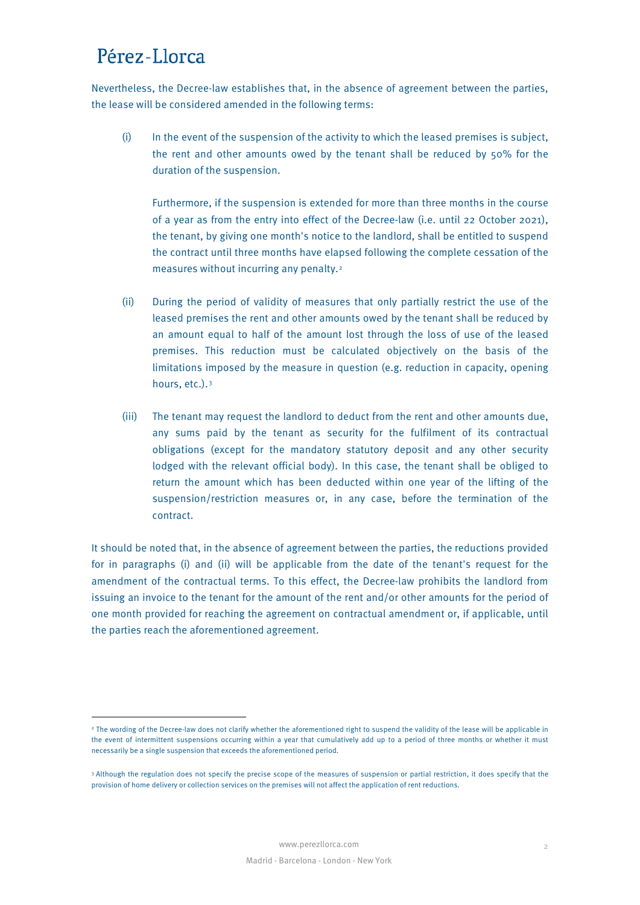# Pérez-Llorca

<u>.</u>

Nevertheless, the Decree-law establishes that, in the absence of agreement between the parties, the lease will be considered amended in the following terms:

(i) In the event of the suspension of the activity to which the leased premises is subject, the rent and other amounts owed by the tenant shall be reduced by 50% for the duration of the suspension.

Furthermore, if the suspension is extended for more than three months in the course of a year as from the entry into effect of the Decree-law (i.e. until 22 October 2021), the tenant, by giving one month's notice to the landlord, shall be entitled to suspend the contract until three months have elapsed following the complete cessation of the measures without incurring any penalty.[2](#page-1-0)

- (ii) During the period of validity of measures that only partially restrict the use of the leased premises the rent and other amounts owed by the tenant shall be reduced by an amount equal to half of the amount lost through the loss of use of the leased premises. This reduction must be calculated objectively on the basis of the limitations imposed by the measure in question (e.g. reduction in capacity, opening hours, etc.).[3](#page-1-1)
- (iii) The tenant may request the landlord to deduct from the rent and other amounts due, any sums paid by the tenant as security for the fulfilment of its contractual obligations (except for the mandatory statutory deposit and any other security lodged with the relevant official body). In this case, the tenant shall be obliged to return the amount which has been deducted within one year of the lifting of the suspension/restriction measures or, in any case, before the termination of the contract.

It should be noted that, in the absence of agreement between the parties, the reductions provided for in paragraphs (i) and (ii) will be applicable from the date of the tenant's request for the amendment of the contractual terms. To this effect, the Decree-law prohibits the landlord from issuing an invoice to the tenant for the amount of the rent and/or other amounts for the period of one month provided for reaching the agreement on contractual amendment or, if applicable, until the parties reach the aforementioned agreement.

<span id="page-1-0"></span><sup>&</sup>lt;sup>2</sup> The wording of the Decree-law does not clarify whether the aforementioned right to suspend the validity of the lease will be applicable in the event of intermittent suspensions occurring within a year that cumulatively add up to a period of three months or whether it must necessarily be a single suspension that exceeds the aforementioned period.

<span id="page-1-1"></span><sup>3</sup> Although the regulation does not specify the precise scope of the measures of suspension or partial restriction, it does specify that the provision of home delivery or collection services on the premises will not affect the application of rent reductions.